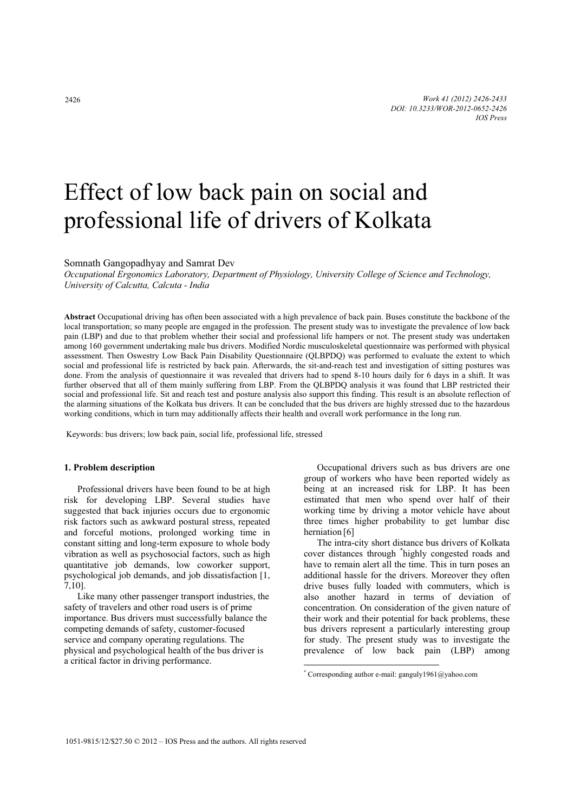# Effect of low back pain on social and professional life of drivers of Kolkata

Somnath Gangopadhyay and Samrat Dev

*Occupational Ergonomics Laboratory, Department of Physiology, University College of Science and Technology, University of Calcutta, Calcuta - India* 

**Abstract** Occupational driving has often been associated with a high prevalence of back pain. Buses constitute the backbone of the local transportation; so many people are engaged in the profession. The present study was to investigate the prevalence of low back pain (LBP) and due to that problem whether their social and professional life hampers or not. The present study was undertaken among 160 government undertaking male bus drivers. Modified Nordic musculoskeletal questionnaire was performed with physical assessment. Then Oswestry Low Back Pain Disability Questionnaire (QLBPDQ) was performed to evaluate the extent to which social and professional life is restricted by back pain. Afterwards, the sit-and-reach test and investigation of sitting postures was done. From the analysis of questionnaire it was revealed that drivers had to spend 8-10 hours daily for 6 days in a shift. It was further observed that all of them mainly suffering from LBP. From the QLBPDQ analysis it was found that LBP restricted their social and professional life. Sit and reach test and posture analysis also support this finding. This result is an absolute reflection of the alarming situations of the Kolkata bus drivers. It can be concluded that the bus drivers are highly stressed due to the hazardous working conditions, which in turn may additionally affects their health and overall work performance in the long run.

 $\overline{a}$ 

Keywords: bus drivers; low back pain, social life, professional life, stressed

### **1. Problem description**

Professional drivers have been found to be at high risk for developing LBP. Several studies have suggested that back injuries occurs due to ergonomic risk factors such as awkward postural stress, repeated and forceful motions, prolonged working time in constant sitting and long-term exposure to whole body vibration as well as psychosocial factors, such as high quantitative job demands, low coworker support, psychological job demands, and job dissatisfaction [1, 7,10].

Like many other passenger transport industries, the safety of travelers and other road users is of prime importance. Bus drivers must successfully balance the competing demands of safety, customer-focused service and company operating regulations. The physical and psychological health of the bus driver is a critical factor in driving performance.

Occupational drivers such as bus drivers are one group of workers who have been reported widely as being at an increased risk for LBP. It has been estimated that men who spend over half of their working time by driving a motor vehicle have about three times higher probability to get lumbar disc herniation [6]

The intra-city short distance bus drivers of Kolkata cover distances through \* highly congested roads and have to remain alert all the time. This in turn poses an additional hassle for the drivers. Moreover they often drive buses fully loaded with commuters, which is also another hazard in terms of deviation of concentration. On consideration of the given nature of their work and their potential for back problems, these bus drivers represent a particularly interesting group for study. The present study was to investigate the prevalence of low back pain (LBP) among

<sup>\*</sup> Corresponding author e-mail: ganguly1961@yahoo.com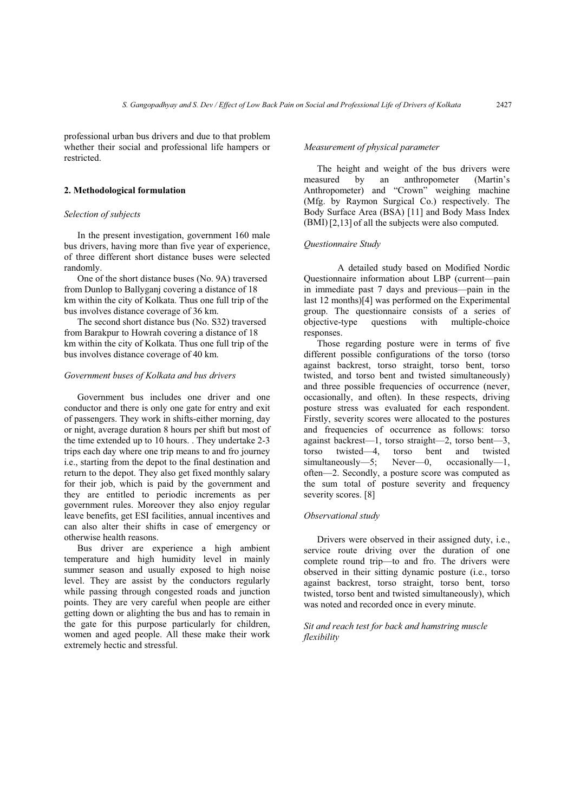professional urban bus drivers and due to that problem whether their social and professional life hampers or restricted.

#### **2. Methodological formulation**

#### *Selection of subjects*

In the present investigation, government 160 male bus drivers, having more than five year of experience, of three different short distance buses were selected randomly.

One of the short distance buses (No. 9A) traversed from Dunlop to Ballyganj covering a distance of 18 km within the city of Kolkata. Thus one full trip of the bus involves distance coverage of 36 km.

The second short distance bus (No. S32) traversed from Barakpur to Howrah covering a distance of 18 km within the city of Kolkata. Thus one full trip of the bus involves distance coverage of 40 km.

#### *Government buses of Kolkata and bus drivers*

Government bus includes one driver and one conductor and there is only one gate for entry and exit of passengers. They work in shifts-either morning, day or night, average duration 8 hours per shift but most of the time extended up to 10 hours. . They undertake 2-3 trips each day where one trip means to and fro journey i.e., starting from the depot to the final destination and return to the depot. They also get fixed monthly salary for their job, which is paid by the government and they are entitled to periodic increments as per government rules. Moreover they also enjoy regular leave benefits, get ESI facilities, annual incentives and can also alter their shifts in case of emergency or otherwise health reasons.

Bus driver are experience a high ambient temperature and high humidity level in mainly summer season and usually exposed to high noise level. They are assist by the conductors regularly while passing through congested roads and junction points. They are very careful when people are either getting down or alighting the bus and has to remain in the gate for this purpose particularly for children, women and aged people. All these make their work extremely hectic and stressful.

#### *Measurement of physical parameter*

The height and weight of the bus drivers were measured by an anthropometer (Martin's Anthropometer) and "Crown" weighing machine (Mfg. by Raymon Surgical Co.) respectively. The Body Surface Area (BSA) [11] and Body Mass Index (BMI)[2,13] of all the subjects were also computed.

# *Questionnaire Study*

 A detailed study based on Modified Nordic Questionnaire information about LBP (current—pain in immediate past 7 days and previous—pain in the last 12 months)[4] was performed on the Experimental group. The questionnaire consists of a series of objective-type questions with multiple-choice responses.

Those regarding posture were in terms of five different possible configurations of the torso (torso against backrest, torso straight, torso bent, torso twisted, and torso bent and twisted simultaneously) and three possible frequencies of occurrence (never, occasionally, and often). In these respects, driving posture stress was evaluated for each respondent. Firstly, severity scores were allocated to the postures and frequencies of occurrence as follows: torso against backrest—1, torso straight—2, torso bent—3, torso twisted—4, torso bent and twisted<br>simultaneously—5: Never—0, occasionally—1, simultaneously—5; Never—0, occasionally—1, often—2. Secondly, a posture score was computed as the sum total of posture severity and frequency severity scores. [8]

#### *Observational study*

Drivers were observed in their assigned duty, i.e., service route driving over the duration of one complete round trip—to and fro. The drivers were observed in their sitting dynamic posture (i.e., torso against backrest, torso straight, torso bent, torso twisted, torso bent and twisted simultaneously), which was noted and recorded once in every minute.

# *Sit and reach test for back and hamstring muscle flexibility*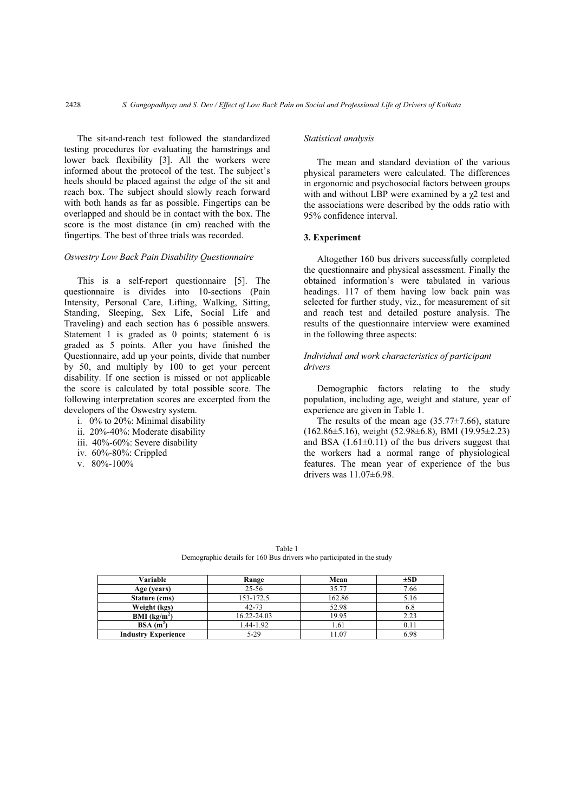The sit-and-reach test followed the standardized testing procedures for evaluating the hamstrings and lower back flexibility [3]. All the workers were informed about the protocol of the test. The subject's heels should be placed against the edge of the sit and reach box. The subject should slowly reach forward with both hands as far as possible. Fingertips can be overlapped and should be in contact with the box. The score is the most distance (in cm) reached with the fingertips. The best of three trials was recorded.

#### *Oswestry Low Back Pain Disability Questionnaire*

This is a self-report questionnaire [5]. The questionnaire is divides into 10-sections (Pain Intensity, Personal Care, Lifting, Walking, Sitting, Standing, Sleeping, Sex Life, Social Life and Traveling) and each section has 6 possible answers. Statement 1 is graded as 0 points; statement 6 is graded as 5 points. After you have finished the Questionnaire, add up your points, divide that number by 50, and multiply by 100 to get your percent disability. If one section is missed or not applicable the score is calculated by total possible score. The following interpretation scores are excerpted from the developers of the Oswestry system.

- i. 0% to 20%: Minimal disability
- ii. 20%-40%: Moderate disability
- iii. 40%-60%: Severe disability
- iv. 60%-80%: Crippled
- v. 80%-100%

## *Statistical analysis*

The mean and standard deviation of the various physical parameters were calculated. The differences in ergonomic and psychosocial factors between groups with and without LBP were examined by a  $\chi$ 2 test and the associations were described by the odds ratio with 95% confidence interval.

### **3. Experiment**

Altogether 160 bus drivers successfully completed the questionnaire and physical assessment. Finally the obtained information's were tabulated in various headings. 117 of them having low back pain was selected for further study, viz., for measurement of sit and reach test and detailed posture analysis. The results of the questionnaire interview were examined in the following three aspects:

# *Individual and work characteristics of participant drivers*

Demographic factors relating to the study population, including age, weight and stature, year of experience are given in Table 1.

The results of the mean age  $(35.77 \pm 7.66)$ , stature  $(162.86\pm5.16)$ , weight  $(52.98\pm6.8)$ , BMI  $(19.95\pm2.23)$ and BSA  $(1.61\pm0.11)$  of the bus drivers suggest that the workers had a normal range of physiological features. The mean year of experience of the bus drivers was 11.07±6.98.

Table 1 Demographic details for 160 Bus drivers who participated in the study

| Variable                   | Range       | $\pm SD$ |      |  |
|----------------------------|-------------|----------|------|--|
| Age (years)                | $25 - 56$   | 35.77    | 7.66 |  |
| Stature (cms)              | 153-172.5   | 162.86   | 5.16 |  |
| Weight (kgs)               | $42 - 73$   | 52.98    | 6.8  |  |
| BMI (kg/m <sup>2</sup> )   | 16.22-24.03 | 19.95    | 2.23 |  |
| $BSA(m^2)$                 | 1.44-1.92   | l.61     |      |  |
| <b>Industry Experience</b> | $5-29$      | 1.07     | 6.98 |  |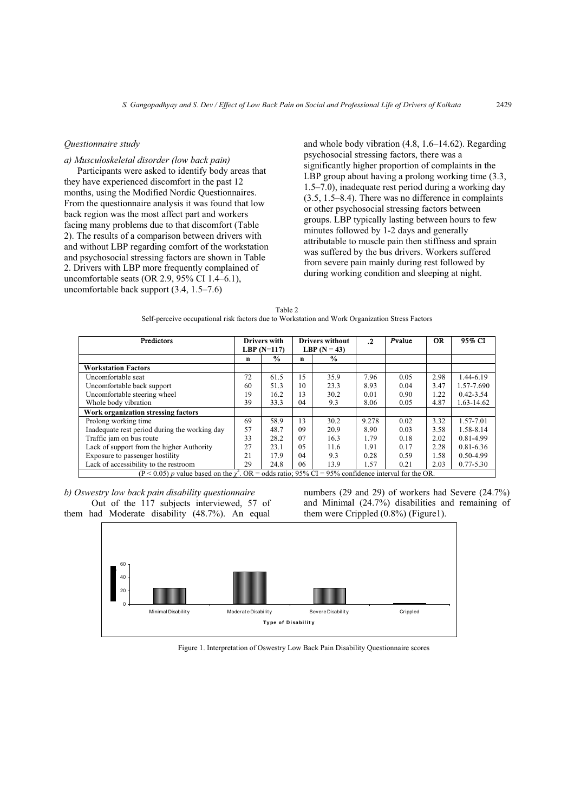# *Questionnaire study*

*a) Musculoskeletal disorder (low back pain)* 

Participants were asked to identify body areas that they have experienced discomfort in the past 12 months, using the Modified Nordic Questionnaires. From the questionnaire analysis it was found that low back region was the most affect part and workers facing many problems due to that discomfort (Table 2). The results of a comparison between drivers with and without LBP regarding comfort of the workstation and psychosocial stressing factors are shown in Table 2. Drivers with LBP more frequently complained of uncomfortable seats (OR 2.9, 95% CI 1.4–6.1), uncomfortable back support (3.4, 1.5–7.6)

and whole body vibration (4.8, 1.6–14.62). Regarding psychosocial stressing factors, there was a significantly higher proportion of complaints in the LBP group about having a prolong working time (3.3, 1.5–7.0), inadequate rest period during a working day (3.5, 1.5–8.4). There was no difference in complaints or other psychosocial stressing factors between groups. LBP typically lasting between hours to few minutes followed by 1-2 days and generally attributable to muscle pain then stiffness and sprain was suffered by the bus drivers. Workers suffered from severe pain mainly during rest followed by during working condition and sleeping at night.

| Table 2                                                                                         |  |
|-------------------------------------------------------------------------------------------------|--|
| Self-perceive occupational risk factors due to Workstation and Work Organization Stress Factors |  |

| Predictors                                                                                                   |    | <b>Drivers with</b><br>LBP $(N=117)$ |             | <b>Drivers without</b><br>LBP $(N = 43)$ | $\cdot$ | Pvalue | <b>OR</b> | 95% CI        |
|--------------------------------------------------------------------------------------------------------------|----|--------------------------------------|-------------|------------------------------------------|---------|--------|-----------|---------------|
|                                                                                                              | n  | $\frac{0}{0}$                        | $\mathbf n$ | $\frac{0}{0}$                            |         |        |           |               |
| <b>Workstation Factors</b>                                                                                   |    |                                      |             |                                          |         |        |           |               |
| Uncomfortable seat                                                                                           | 72 | 61.5                                 | 15          | 35.9                                     | 7.96    | 0.05   | 2.98      | 1.44-6.19     |
| Uncomfortable back support                                                                                   | 60 | 51.3                                 | 10          | 23.3                                     | 8.93    | 0.04   | 3.47      | 1.57-7.690    |
| Uncomfortable steering wheel                                                                                 | 19 | 16.2                                 | 13          | 30.2                                     | 0.01    | 0.90   | 1.22      | $0.42 - 3.54$ |
| Whole body vibration                                                                                         | 39 | 33.3                                 | 04          | 9.3                                      | 8.06    | 0.05   | 4.87      | 1.63-14.62    |
| Work organization stressing factors                                                                          |    |                                      |             |                                          |         |        |           |               |
| Prolong working time                                                                                         | 69 | 58.9                                 | 13          | 30.2                                     | 9.278   | 0.02   | 3.32      | 1.57-7.01     |
| Inadequate rest period during the working day                                                                | 57 | 48.7                                 | 09          | 20.9                                     | 8.90    | 0.03   | 3.58      | 1.58-8.14     |
| Traffic jam on bus route                                                                                     | 33 | 28.2                                 | 07          | 16.3                                     | 1.79    | 0.18   | 2.02      | 0.81-4.99     |
| Lack of support from the higher Authority                                                                    | 27 | 23.1                                 | 05          | 11.6                                     | 1.91    | 0.17   | 2.28      | $0.81 - 6.36$ |
| Exposure to passenger hostility                                                                              | 21 | 17.9                                 | 04          | 9.3                                      | 0.28    | 0.59   | 1.58      | 0.50-4.99     |
| Lack of accessibility to the restroom                                                                        | 29 | 24.8                                 | 06          | 13.9                                     | 1.57    | 0.21   | 2.03      | $0.77 - 5.30$ |
| $(P < 0.05) p$ value based on the $\gamma^2$ . OR = odds ratio; 95% CI = 95% confidence interval for the OR. |    |                                      |             |                                          |         |        |           |               |

*b) Oswestry low back pain disability questionnaire*  Out of the 117 subjects interviewed, 57 of

them had Moderate disability (48.7%). An equal

numbers (29 and 29) of workers had Severe (24.7%) and Minimal (24.7%) disabilities and remaining of them were Crippled (0.8%) (Figure1).



Figure 1. Interpretation of Oswestry Low Back Pain Disability Questionnaire scores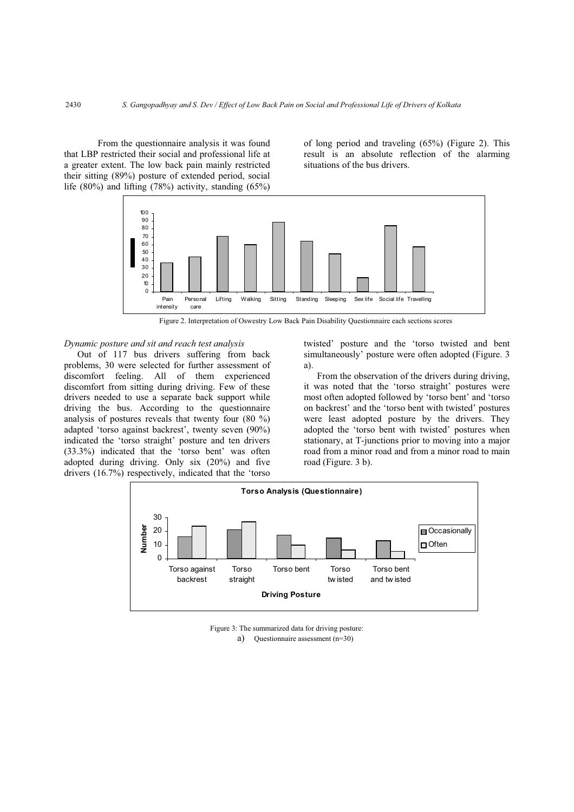From the questionnaire analysis it was found that LBP restricted their social and professional life at a greater extent. The low back pain mainly restricted their sitting (89%) posture of extended period, social life  $(80\%)$  and lifting  $(78\%)$  activity, standing  $(65\%)$ 

of long period and traveling (65%) (Figure 2). This result is an absolute reflection of the alarming situations of the bus drivers.



Figure 2. Interpretation of Oswestry Low Back Pain Disability Questionnaire each sections scores

## *Dynamic posture and sit and reach test analysis*

Out of 117 bus drivers suffering from back problems, 30 were selected for further assessment of discomfort feeling. All of them experienced discomfort from sitting during driving. Few of these drivers needed to use a separate back support while driving the bus. According to the questionnaire analysis of postures reveals that twenty four (80 %) adapted 'torso against backrest', twenty seven (90%) indicated the 'torso straight' posture and ten drivers (33.3%) indicated that the 'torso bent' was often adopted during driving. Only six (20%) and five drivers (16.7%) respectively, indicated that the 'torso twisted' posture and the 'torso twisted and bent simultaneously' posture were often adopted (Figure. 3 a).

From the observation of the drivers during driving, it was noted that the 'torso straight' postures were most often adopted followed by 'torso bent' and 'torso on backrest' and the 'torso bent with twisted' postures were least adopted posture by the drivers. They adopted the 'torso bent with twisted' postures when stationary, at T-junctions prior to moving into a major road from a minor road and from a minor road to main road (Figure. 3 b).



Figure 3: The summarized data for driving posture: a) Questionnaire assessment (n=30)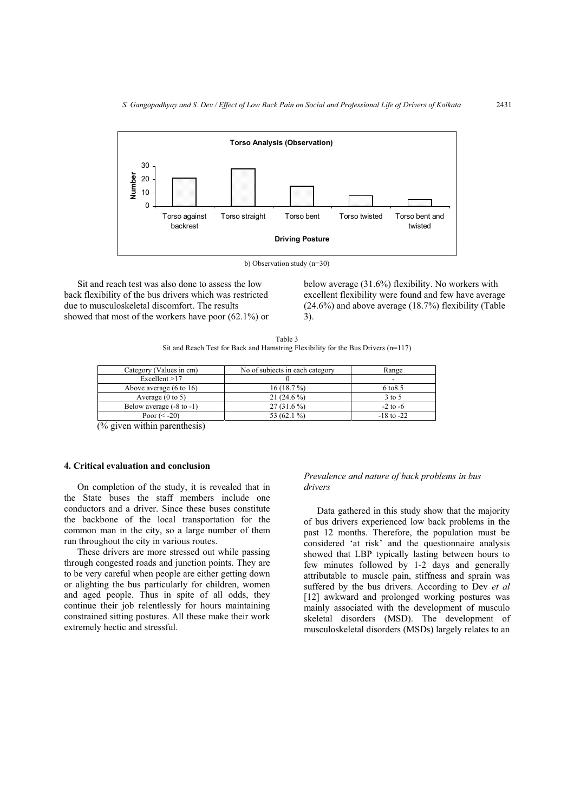

b) Observation study (n=30)

Sit and reach test was also done to assess the low back flexibility of the bus drivers which was restricted due to musculoskeletal discomfort. The results showed that most of the workers have poor (62.1%) or below average (31.6%) flexibility. No workers with excellent flexibility were found and few have average  $(24.6\%)$  and above average  $(18.7\%)$  flexibility (Table 3).

Table 3 Sit and Reach Test for Back and Hamstring Flexibility for the Bus Drivers (n=117)

| Category (Values in cm)             | No of subjects in each category | Range                    |
|-------------------------------------|---------------------------------|--------------------------|
| Excellent > 17                      |                                 | $\overline{\phantom{0}}$ |
| Above average $(6 \text{ to } 16)$  | 16(18.7%)                       | 6 to 8.5                 |
| Average $(0 \text{ to } 5)$         | 21 $(24.6\%)$                   | $3$ to $5$               |
| Below average $(-8 \text{ to } -1)$ | $27(31.6\%)$                    | $-2$ to $-6$             |
| Poor $(< -20$ )                     | 53 $(62.1\%)$                   | $-18$ to $-22$           |

(% given within parenthesis)

## **4. Critical evaluation and conclusion**

On completion of the study, it is revealed that in the State buses the staff members include one conductors and a driver. Since these buses constitute the backbone of the local transportation for the common man in the city, so a large number of them run throughout the city in various routes.

These drivers are more stressed out while passing through congested roads and junction points. They are to be very careful when people are either getting down or alighting the bus particularly for children, women and aged people. Thus in spite of all odds, they continue their job relentlessly for hours maintaining constrained sitting postures. All these make their work extremely hectic and stressful.

#### *Prevalence and nature of back problems in bus drivers*

Data gathered in this study show that the majority of bus drivers experienced low back problems in the past 12 months. Therefore, the population must be considered 'at risk' and the questionnaire analysis showed that LBP typically lasting between hours to few minutes followed by 1-2 days and generally attributable to muscle pain, stiffness and sprain was suffered by the bus drivers. According to Dev *et al* [12] awkward and prolonged working postures was mainly associated with the development of musculo skeletal disorders (MSD). The development of musculoskeletal disorders (MSDs) largely relates to an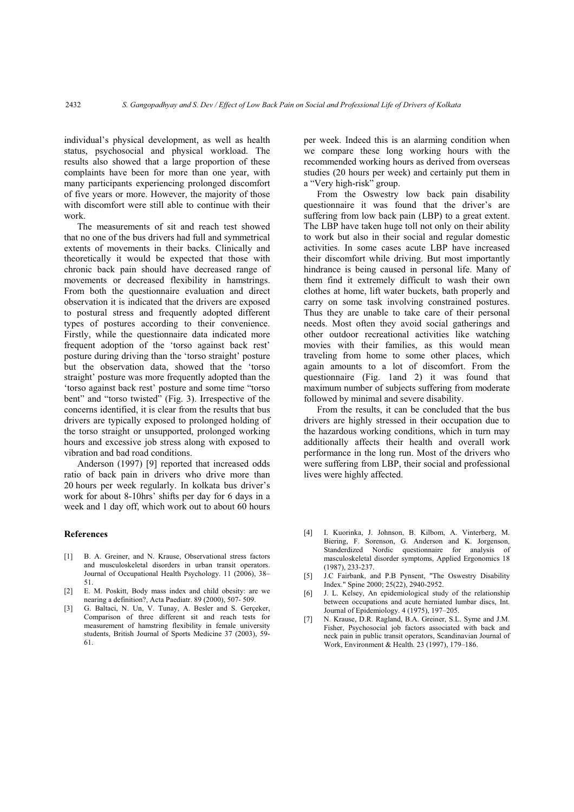individual's physical development, as well as health status, psychosocial and physical workload. The results also showed that a large proportion of these complaints have been for more than one year, with many participants experiencing prolonged discomfort of five years or more. However, the majority of those with discomfort were still able to continue with their work.

The measurements of sit and reach test showed that no one of the bus drivers had full and symmetrical extents of movements in their backs. Clinically and theoretically it would be expected that those with chronic back pain should have decreased range of movements or decreased flexibility in hamstrings. From both the questionnaire evaluation and direct observation it is indicated that the drivers are exposed to postural stress and frequently adopted different types of postures according to their convenience. Firstly, while the questionnaire data indicated more frequent adoption of the 'torso against back rest' posture during driving than the 'torso straight' posture but the observation data, showed that the 'torso straight' posture was more frequently adopted than the 'torso against back rest' posture and some time "torso bent" and "torso twisted" (Fig. 3). Irrespective of the concerns identified, it is clear from the results that bus drivers are typically exposed to prolonged holding of the torso straight or unsupported, prolonged working hours and excessive job stress along with exposed to vibration and bad road conditions.

Anderson (1997) [9] reported that increased odds ratio of back pain in drivers who drive more than 20 hours per week regularly. In kolkata bus driver's work for about 8-10hrs' shifts per day for 6 days in a week and 1 day off, which work out to about 60 hours

# **References**

- [1] B. A. Greiner, and N. Krause, Observational stress factors and musculoskeletal disorders in urban transit operators. Journal of Occupational Health Psychology. 11 (2006), 38-51.
- [2] E. M. Poskitt, Body mass index and child obesity: are we nearing a definition?, Acta Paediatr. 89 (2000), 507- 509.
- [3] G. Baltaci, N. Un, V. Tunay, A. Besler and S. Gerçeker, Comparison of three different sit and reach tests for measurement of hamstring flexibility in female university students, British Journal of Sports Medicine 37 (2003), 59- 61.

per week. Indeed this is an alarming condition when we compare these long working hours with the recommended working hours as derived from overseas studies (20 hours per week) and certainly put them in a "Very high-risk" group.

From the Oswestry low back pain disability questionnaire it was found that the driver's are suffering from low back pain (LBP) to a great extent. The LBP have taken huge toll not only on their ability to work but also in their social and regular domestic activities. In some cases acute LBP have increased their discomfort while driving. But most importantly hindrance is being caused in personal life. Many of them find it extremely difficult to wash their own clothes at home, lift water buckets, bath properly and carry on some task involving constrained postures. Thus they are unable to take care of their personal needs. Most often they avoid social gatherings and other outdoor recreational activities like watching movies with their families, as this would mean traveling from home to some other places, which again amounts to a lot of discomfort. From the questionnaire (Fig. 1and 2) it was found that maximum number of subjects suffering from moderate followed by minimal and severe disability.

From the results, it can be concluded that the bus drivers are highly stressed in their occupation due to the hazardous working conditions, which in turn may additionally affects their health and overall work performance in the long run. Most of the drivers who were suffering from LBP, their social and professional lives were highly affected.

- [4] I. Kuorinka, J. Johnson, B. Kilbom, A. Vinterberg, M. Biering, F. Sorenson, G. Anderson and K. Jorgenson, Standerdized Nordic questionnaire for analysis of masculoskeletal disorder symptoms, Applied Ergonomics 18 (1987), 233-237.
- [5] J.C Fairbank, and P.B Pynsent, "The Oswestry Disability Index." Spine 2000; 25(22), 2940-2952.
- [6] J. L. Kelsey, An epidemiological study of the relationship between occupations and acute herniated lumbar discs, Int. Journal of Epidemiology. 4 (1975), 197–205.
- [7] N. Krause, D.R. Ragland, B.A. Greiner, S.L. Syme and J.M. Fisher, Psychosocial job factors associated with back and neck pain in public transit operators, Scandinavian Journal of Work, Environment & Health*.* 23 (1997), 179–186.